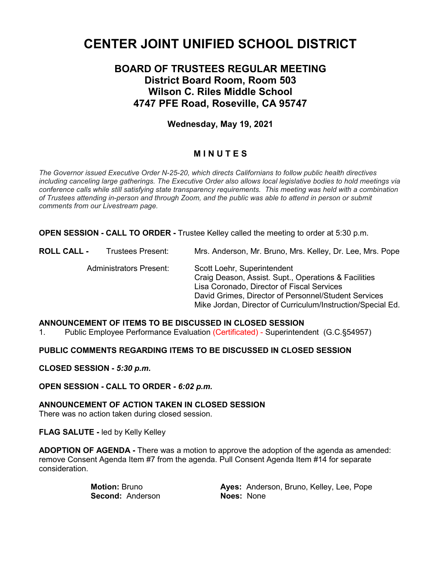# **CENTER JOINT UNIFIED SCHOOL DISTRICT**

# **BOARD OF TRUSTEES REGULAR MEETING District Board Room, Room 503 Wilson C. Riles Middle School 4747 PFE Road, Roseville, CA 95747**

# **Wednesday, May 19, 2021**

# **M I N U T E S**

*The Governor issued Executive Order N-25-20, which directs Californians to follow public health directives including canceling large gatherings. The Executive Order also allows local legislative bodies to hold meetings via conference calls while still satisfying state transparency requirements. This meeting was held with a combination of Trustees attending in-person and through Zoom, and the public was able to attend in person or submit comments from our Livestream page.*

**OPEN SESSION - CALL TO ORDER -** Trustee Kelley called the meeting to order at 5:30 p.m.

**ROLL CALL -** Trustees Present: Mrs. Anderson, Mr. Bruno, Mrs. Kelley, Dr. Lee, Mrs. Pope Administrators Present: Scott Loehr, Superintendent Craig Deason, Assist. Supt., Operations & Facilities Lisa Coronado, Director of Fiscal Services David Grimes, Director of Personnel/Student Services Mike Jordan, Director of Curriculum/Instruction/Special Ed.

# **ANNOUNCEMENT OF ITEMS TO BE DISCUSSED IN CLOSED SESSION**

1. Public Employee Performance Evaluation (Certificated) - Superintendent(G.C.§54957)

**PUBLIC COMMENTS REGARDING ITEMS TO BE DISCUSSED IN CLOSED SESSION**

**CLOSED SESSION -** *5:30 p.m.*

**OPEN SESSION - CALL TO ORDER -** *6:02 p.m.*

**ANNOUNCEMENT OF ACTION TAKEN IN CLOSED SESSION**

There was no action taken during closed session.

**FLAG SALUTE -** led by Kelly Kelley

**ADOPTION OF AGENDA -** There was a motion to approve the adoption of the agenda as amended: remove Consent Agenda Item #7 from the agenda. Pull Consent Agenda Item #14 for separate consideration.

**Second: Anderson** 

**Motion:** Bruno **Ayes: Anderson, Bruno, Kelley, Lee, Pope**<br> **Second:** Anderson **Alges: None Alges: None**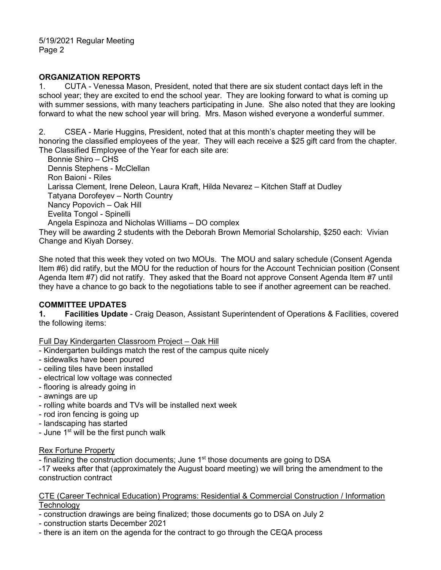#### **ORGANIZATION REPORTS**

1. CUTA - Venessa Mason, President, noted that there are six student contact days left in the school year; they are excited to end the school year. They are looking forward to what is coming up with summer sessions, with many teachers participating in June. She also noted that they are looking forward to what the new school year will bring. Mrs. Mason wished everyone a wonderful summer.

2. CSEA - Marie Huggins, President, noted that at this month's chapter meeting they will be honoring the classified employees of the year. They will each receive a \$25 gift card from the chapter. The Classified Employee of the Year for each site are:

 Bonnie Shiro – CHS Dennis Stephens - McClellan Ron Baioni - Riles Larissa Clement, Irene Deleon, Laura Kraft, Hilda Nevarez – Kitchen Staff at Dudley Tatyana Dorofeyev – North Country Nancy Popovich – Oak Hill Evelita Tongol - Spinelli Angela Espinoza and Nicholas Williams – DO complex They will be awarding 2 students with the Deborah Brown Memorial Scholarship, \$250 each: Vivian

Change and Kiyah Dorsey.

She noted that this week they voted on two MOUs. The MOU and salary schedule (Consent Agenda Item #6) did ratify, but the MOU for the reduction of hours for the Account Technician position (Consent Agenda Item #7) did not ratify. They asked that the Board not approve Consent Agenda Item #7 until they have a chance to go back to the negotiations table to see if another agreement can be reached.

### **COMMITTEE UPDATES**

**1. Facilities Update** - Craig Deason, Assistant Superintendent of Operations & Facilities, covered the following items:

#### Full Day Kindergarten Classroom Project – Oak Hill

- Kindergarten buildings match the rest of the campus quite nicely
- sidewalks have been poured
- ceiling tiles have been installed
- electrical low voltage was connected
- flooring is already going in
- awnings are up
- rolling white boards and TVs will be installed next week
- rod iron fencing is going up
- landscaping has started
- June 1<sup>st</sup> will be the first punch walk

#### Rex Fortune Property

- finalizing the construction documents; June  $1<sup>st</sup>$  those documents are going to DSA

-17 weeks after that (approximately the August board meeting) we will bring the amendment to the construction contract

#### CTE (Career Technical Education) Programs: Residential & Commercial Construction / Information **Technology**

- construction drawings are being finalized; those documents go to DSA on July 2
- construction starts December 2021
- there is an item on the agenda for the contract to go through the CEQA process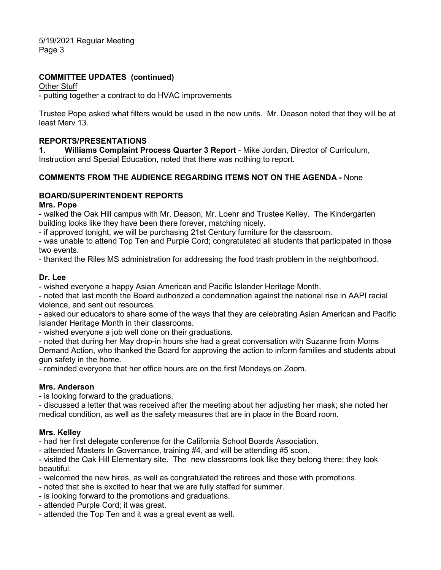5/19/2021 Regular Meeting Page 3

### **COMMITTEE UPDATES (continued)**

#### Other Stuff

- putting together a contract to do HVAC improvements

Trustee Pope asked what filters would be used in the new units. Mr. Deason noted that they will be at least Merv 13.

#### **REPORTS/PRESENTATIONS**

**1. Williams Complaint Process Quarter 3 Report** - Mike Jordan, Director of Curriculum, Instruction and Special Education, noted that there was nothing to report.

#### **COMMENTS FROM THE AUDIENCE REGARDING ITEMS NOT ON THE AGENDA -** None

#### **BOARD/SUPERINTENDENT REPORTS**

#### **Mrs. Pope**

- walked the Oak Hill campus with Mr. Deason, Mr. Loehr and Trustee Kelley. The Kindergarten building looks like they have been there forever, matching nicely.

- if approved tonight, we will be purchasing 21st Century furniture for the classroom.

- was unable to attend Top Ten and Purple Cord; congratulated all students that participated in those two events.

- thanked the Riles MS administration for addressing the food trash problem in the neighborhood.

#### **Dr. Lee**

- wished everyone a happy Asian American and Pacific Islander Heritage Month.

- noted that last month the Board authorized a condemnation against the national rise in AAPI racial violence, and sent out resources.

- asked our educators to share some of the ways that they are celebrating Asian American and Pacific Islander Heritage Month in their classrooms.

- wished everyone a job well done on their graduations.

- noted that during her May drop-in hours she had a great conversation with Suzanne from Moms Demand Action, who thanked the Board for approving the action to inform families and students about gun safety in the home.

- reminded everyone that her office hours are on the first Mondays on Zoom.

#### **Mrs. Anderson**

- is looking forward to the graduations.

- discussed a letter that was received after the meeting about her adjusting her mask; she noted her medical condition, as well as the safety measures that are in place in the Board room.

#### **Mrs. Kelley**

- had her first delegate conference for the California School Boards Association.

- attended Masters In Governance, training #4, and will be attending #5 soon.

- visited the Oak Hill Elementary site. The new classrooms look like they belong there; they look beautiful.

- welcomed the new hires, as well as congratulated the retirees and those with promotions.

- noted that she is excited to hear that we are fully staffed for summer.
- is looking forward to the promotions and graduations.
- attended Purple Cord; it was great.
- attended the Top Ten and it was a great event as well.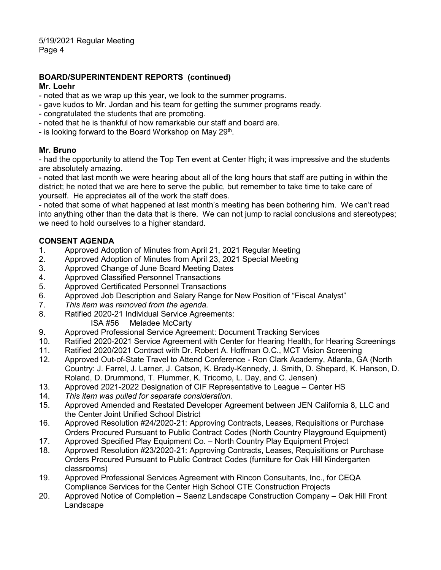# **BOARD/SUPERINTENDENT REPORTS (continued)**

### **Mr. Loehr**

- noted that as we wrap up this year, we look to the summer programs.
- gave kudos to Mr. Jordan and his team for getting the summer programs ready.
- congratulated the students that are promoting.
- noted that he is thankful of how remarkable our staff and board are.
- is looking forward to the Board Workshop on May  $29<sup>th</sup>$ .

# **Mr. Bruno**

- had the opportunity to attend the Top Ten event at Center High; it was impressive and the students are absolutely amazing.

- noted that last month we were hearing about all of the long hours that staff are putting in within the district; he noted that we are here to serve the public, but remember to take time to take care of yourself. He appreciates all of the work the staff does.

- noted that some of what happened at last month's meeting has been bothering him. We can't read into anything other than the data that is there. We can not jump to racial conclusions and stereotypes; we need to hold ourselves to a higher standard.

# **CONSENT AGENDA**

- 1. Approved Adoption of Minutes from April 21, 2021 Regular Meeting
- 2. Approved Adoption of Minutes from April 23, 2021 Special Meeting
- 3. Approved Change of June Board Meeting Dates
- 4. Approved Classified Personnel Transactions
- 5. Approved Certificated Personnel Transactions
- 6. Approved Job Description and Salary Range for New Position of "Fiscal Analyst"
- 7. *This item was removed from the agenda.*
- 8. Ratified 2020-21 Individual Service Agreements:
	- ISA #56 Meladee McCarty
- 9. Approved Professional Service Agreement: Document Tracking Services<br>10. Ratified 2020-2021 Service Agreement with Center for Hearing Health. for
- Ratified 2020-2021 Service Agreement with Center for Hearing Health, for Hearing Screenings
- 11. Ratified 2020/2021 Contract with Dr. Robert A. Hoffman O.C., MCT Vision Screening
- 12. Approved Out-of-State Travel to Attend Conference Ron Clark Academy, Atlanta, GA (North Country: J. Farrel, J. Larner, J. Catson, K. Brady-Kennedy, J. Smith, D. Shepard, K. Hanson, D. Roland, D. Drummond, T. Plummer, K. Tricomo, L. Day, and C. Jensen)
- 13. Approved 2021-2022 Designation of CIF Representative to League Center HS
- 14. *This item was pulled for separate consideration.*
- 15. Approved Amended and Restated Developer Agreement between JEN California 8, LLC and the Center Joint Unified School District
- 16. Approved Resolution #24/2020-21: Approving Contracts, Leases, Requisitions or Purchase Orders Procured Pursuant to Public Contract Codes (North Country Playground Equipment)
- 17. Approved Specified Play Equipment Co. North Country Play Equipment Project
- 18. Approved Resolution #23/2020-21: Approving Contracts, Leases, Requisitions or Purchase Orders Procured Pursuant to Public Contract Codes (furniture for Oak Hill Kindergarten classrooms)
- 19. Approved Professional Services Agreement with Rincon Consultants, Inc., for CEQA Compliance Services for the Center High School CTE Construction Projects
- 20. Approved Notice of Completion Saenz Landscape Construction Company Oak Hill Front **Landscape**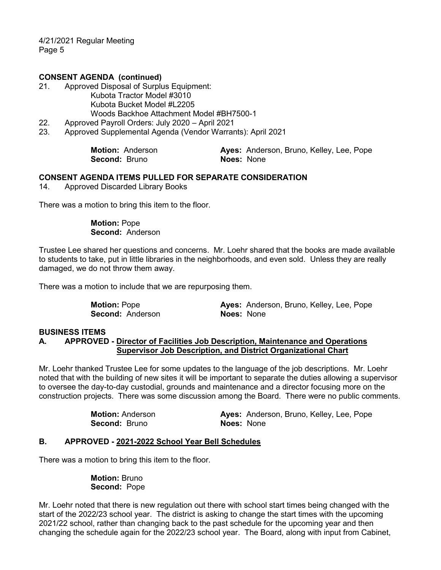4/21/2021 Regular Meeting Page 5

#### **CONSENT AGENDA (continued)**

- 21. Approved Disposal of Surplus Equipment: Kubota Tractor Model #3010 Kubota Bucket Model #L2205 Woods Backhoe Attachment Model #BH7500-1
- 22. Approved Payroll Orders: July 2020 April 2021
- 23. Approved Supplemental Agenda (Vendor Warrants): April 2021

| <b>Motion: Anderson</b> | Ayes: Anderson, Bruno, Kelley, Lee, Pope |
|-------------------------|------------------------------------------|
| <b>Second: Bruno</b>    | <b>Noes: None</b>                        |

#### **CONSENT AGENDA ITEMS PULLED FOR SEPARATE CONSIDERATION**

14. Approved Discarded Library Books

There was a motion to bring this item to the floor.

#### **Motion:** Pope **Second:** Anderson

Trustee Lee shared her questions and concerns. Mr. Loehr shared that the books are made available to students to take, put in little libraries in the neighborhoods, and even sold. Unless they are really damaged, we do not throw them away.

There was a motion to include that we are repurposing them.

**Second:** Anderson **Noes:** None

**Motion:** Pope **Ayes:** Anderson, Bruno, Kelley, Lee, Pope

# **BUSINESS ITEMS**

#### **A. APPROVED - Director of Facilities Job Description, Maintenance and Operations Supervisor Job Description, and District Organizational Chart**

Mr. Loehr thanked Trustee Lee for some updates to the language of the job descriptions. Mr. Loehr noted that with the building of new sites it will be important to separate the duties allowing a supervisor to oversee the day-to-day custodial, grounds and maintenance and a director focusing more on the construction projects. There was some discussion among the Board. There were no public comments.

| <b>Motion:</b> Anderson | Ayes: Anderson, Bruno, Kelley, Lee, Pope |
|-------------------------|------------------------------------------|
| <b>Second: Bruno</b>    | <b>Noes: None</b>                        |

#### **B. APPROVED - 2021-2022 School Year Bell Schedules**

There was a motion to bring this item to the floor.

 **Motion:** Bruno **Second:** Pope

Mr. Loehr noted that there is new regulation out there with school start times being changed with the start of the 2022/23 school year. The district is asking to change the start times with the upcoming 2021/22 school, rather than changing back to the past schedule for the upcoming year and then changing the schedule again for the 2022/23 school year. The Board, along with input from Cabinet,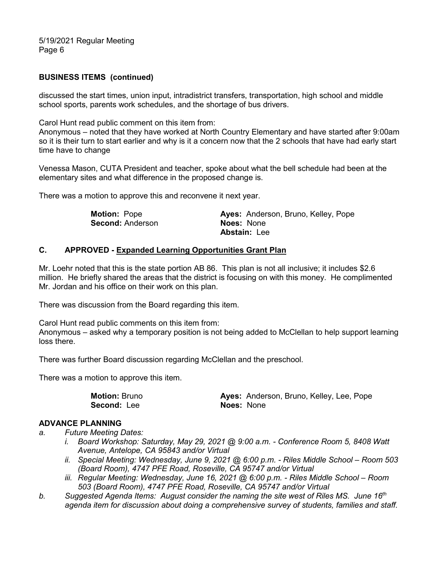5/19/2021 Regular Meeting Page 6

#### **BUSINESS ITEMS (continued)**

discussed the start times, union input, intradistrict transfers, transportation, high school and middle school sports, parents work schedules, and the shortage of bus drivers.

Carol Hunt read public comment on this item from:

Anonymous – noted that they have worked at North Country Elementary and have started after 9:00am so it is their turn to start earlier and why is it a concern now that the 2 schools that have had early start time have to change

Venessa Mason, CUTA President and teacher, spoke about what the bell schedule had been at the elementary sites and what difference in the proposed change is.

There was a motion to approve this and reconvene it next year.

| <b>Motion: Pope</b>     | Ayes: Anderson, Bruno, Kelley, Pope |
|-------------------------|-------------------------------------|
| <b>Second: Anderson</b> | <b>Noes: None</b>                   |
|                         | <b>Abstain: Lee</b>                 |

#### **C. APPROVED - Expanded Learning Opportunities Grant Plan**

Mr. Loehr noted that this is the state portion AB 86. This plan is not all inclusive; it includes \$2.6 million. He briefly shared the areas that the district is focusing on with this money. He complimented Mr. Jordan and his office on their work on this plan.

There was discussion from the Board regarding this item.

Carol Hunt read public comments on this item from:

Anonymous – asked why a temporary position is not being added to McClellan to help support learning loss there.

There was further Board discussion regarding McClellan and the preschool.

There was a motion to approve this item.

| <b>Motion: Bruno</b> | Ayes: Anderson, Bruno, Kelley, Lee, Pope |
|----------------------|------------------------------------------|
| <b>Second: Lee</b>   | <b>Noes: None</b>                        |

#### **ADVANCE PLANNING**

- *a. Future Meeting Dates:*
	- *i. Board Workshop: Saturday, May 29, 2021 @ 9:00 a.m. - Conference Room 5, 8408 Watt Avenue, Antelope, CA 95843 and/or Virtual*
	- *ii. Special Meeting: Wednesday, June 9, 2021 @ 6:00 p.m. - Riles Middle School – Room 503 (Board Room), 4747 PFE Road, Roseville, CA 95747 and/or Virtual*
	- *iii. Regular Meeting: Wednesday, June 16, 2021 @ 6:00 p.m. - Riles Middle School – Room 503 (Board Room), 4747 PFE Road, Roseville, CA 95747 and/or Virtual*
- *b. Suggested Agenda Items: August consider the naming the site west of Riles MS. June 16th agenda item for discussion about doing a comprehensive survey of students, families and staff.*